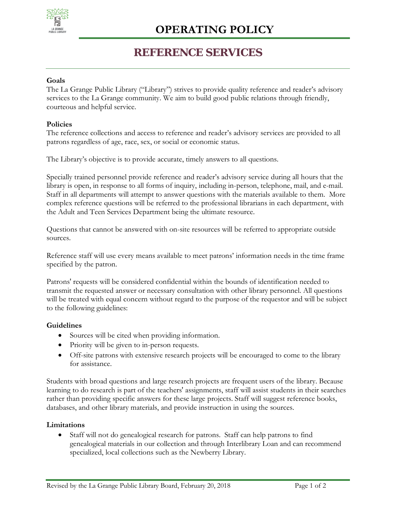

## **REFERENCE SERVICES**

### **Goals**

The La Grange Public Library ("Library") strives to provide quality reference and reader's advisory services to the La Grange community. We aim to build good public relations through friendly, courteous and helpful service.

### **Policies**

The reference collections and access to reference and reader's advisory services are provided to all patrons regardless of age, race, sex, or social or economic status.

The Library's objective is to provide accurate, timely answers to all questions.

Specially trained personnel provide reference and reader's advisory service during all hours that the library is open, in response to all forms of inquiry, including in-person, telephone, mail, and e-mail. Staff in all departments will attempt to answer questions with the materials available to them. More complex reference questions will be referred to the professional librarians in each department, with the Adult and Teen Services Department being the ultimate resource.

Questions that cannot be answered with on-site resources will be referred to appropriate outside sources.

Reference staff will use every means available to meet patrons' information needs in the time frame specified by the patron.

Patrons' requests will be considered confidential within the bounds of identification needed to transmit the requested answer or necessary consultation with other library personnel. All questions will be treated with equal concern without regard to the purpose of the requestor and will be subject to the following guidelines:

### **Guidelines**

- Sources will be cited when providing information.
- Priority will be given to in-person requests.
- Off-site patrons with extensive research projects will be encouraged to come to the library for assistance.

Students with broad questions and large research projects are frequent users of the library. Because learning to do research is part of the teachers' assignments, staff will assist students in their searches rather than providing specific answers for these large projects. Staff will suggest reference books, databases, and other library materials, and provide instruction in using the sources.

### **Limitations**

• Staff will not do genealogical research for patrons. Staff can help patrons to find genealogical materials in our collection and through Interlibrary Loan and can recommend specialized, local collections such as the Newberry Library.